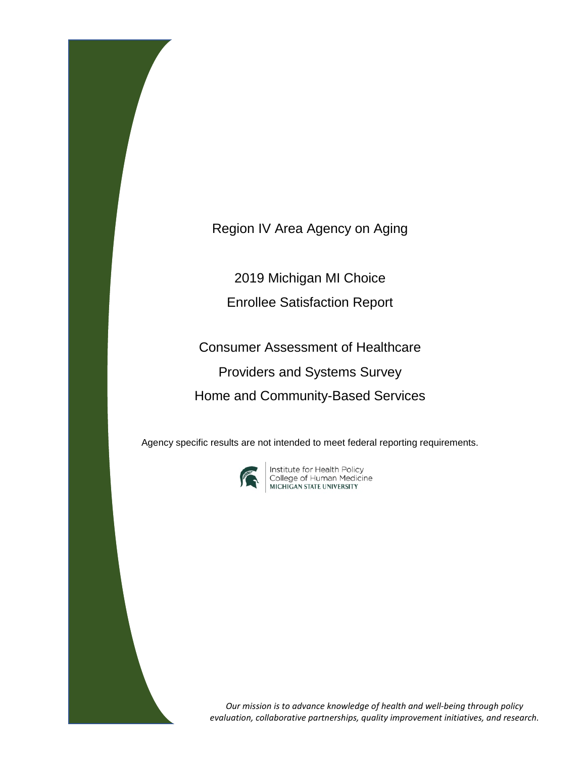Region IV Area Agency on Aging

2019 Michigan MI Choice

Enrollee Satisfaction Report

Consumer Assessment of Healthcare Providers and Systems Survey Home and Community-Based Services

Agency specific results are not intended to meet federal reporting requirements.



**Institute for Health Policy<br>College of Human Medicine<br>MICHIGAN STATE UNIVERSITY** 

*Our mission is to advance knowledge of health and well-being through policy evaluation, collaborative partnerships, quality improvement initiatives, and research.*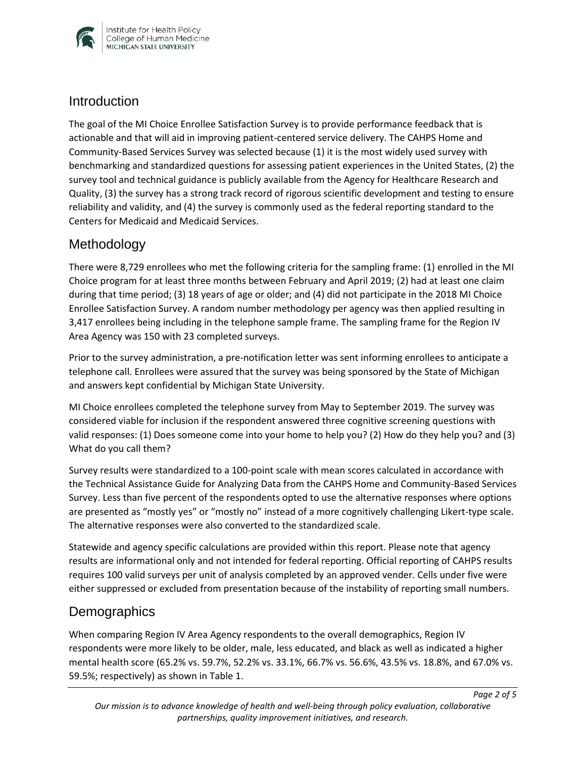

#### **Introduction**

The goal of the MI Choice Enrollee Satisfaction Survey is to provide performance feedback that is actionable and that will aid in improving patient-centered service delivery. The CAHPS Home and Community-Based Services Survey was selected because (1) it is the most widely used survey with benchmarking and standardized questions for assessing patient experiences in the United States, (2) the survey tool and technical guidance is publicly available from the Agency for Healthcare Research and Quality, (3) the survey has a strong track record of rigorous scientific development and testing to ensure reliability and validity, and (4) the survey is commonly used as the federal reporting standard to the Centers for Medicaid and Medicaid Services.

### Methodology

There were 8,729 enrollees who met the following criteria for the sampling frame: (1) enrolled in the MI Choice program for at least three months between February and April 2019; (2) had at least one claim during that time period; (3) 18 years of age or older; and (4) did not participate in the 2018 MI Choice Enrollee Satisfaction Survey. A random number methodology per agency was then applied resulting in 3,417 enrollees being including in the telephone sample frame. The sampling frame for the Region IV Area Agency was 150 with 23 completed surveys.

Prior to the survey administration, a pre-notification letter was sent informing enrollees to anticipate a telephone call. Enrollees were assured that the survey was being sponsored by the State of Michigan and answers kept confidential by Michigan State University.

MI Choice enrollees completed the telephone survey from May to September 2019. The survey was considered viable for inclusion if the respondent answered three cognitive screening questions with valid responses: (1) Does someone come into your home to help you? (2) How do they help you? and (3) What do you call them?

Survey results were standardized to a 100-point scale with mean scores calculated in accordance with the Technical Assistance Guide for Analyzing Data from the CAHPS Home and Community-Based Services Survey. Less than five percent of the respondents opted to use the alternative responses where options are presented as "mostly yes" or "mostly no" instead of a more cognitively challenging Likert-type scale. The alternative responses were also converted to the standardized scale.

Statewide and agency specific calculations are provided within this report. Please note that agency results are informational only and not intended for federal reporting. Official reporting of CAHPS results requires 100 valid surveys per unit of analysis completed by an approved vender. Cells under five were either suppressed or excluded from presentation because of the instability of reporting small numbers.

### **Demographics**

When comparing Region IV Area Agency respondents to the overall demographics, Region IV respondents were more likely to be older, male, less educated, and black as well as indicated a higher mental health score (65.2% vs. 59.7%, 52.2% vs. 33.1%, 66.7% vs. 56.6%, 43.5% vs. 18.8%, and 67.0% vs. 59.5%; respectively) as shown in Table 1.

*Page 2 of 5*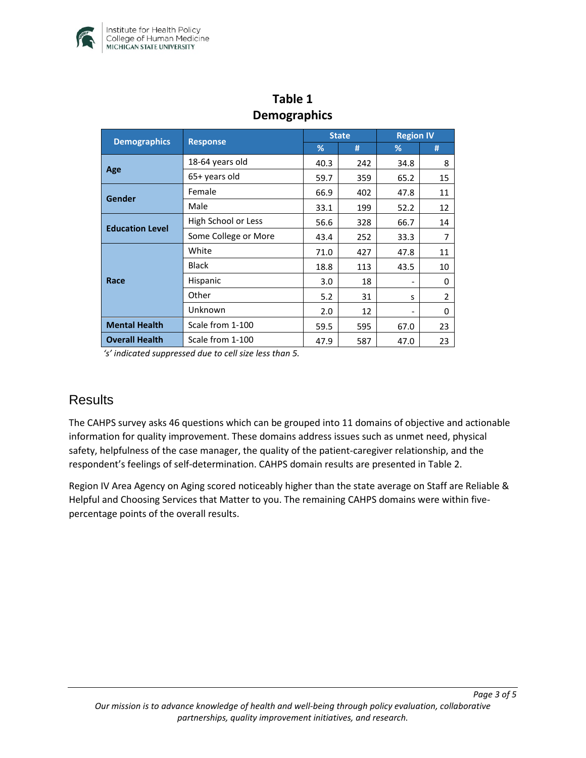

| DENIUSIAPHILU          |                      |              |     |                  |                |  |  |
|------------------------|----------------------|--------------|-----|------------------|----------------|--|--|
| <b>Demographics</b>    | <b>Response</b>      | <b>State</b> |     | <b>Region IV</b> |                |  |  |
|                        |                      | %            | #   | %                | #              |  |  |
| Age                    | 18-64 years old      | 40.3         | 242 | 34.8             | 8              |  |  |
|                        | 65+ years old        | 59.7         | 359 | 65.2             | 15             |  |  |
| <b>Gender</b>          | Female               | 66.9         | 402 | 47.8             | 11             |  |  |
|                        | Male                 | 33.1         | 199 | 52.2             | 12             |  |  |
| <b>Education Level</b> | High School or Less  | 56.6         | 328 | 66.7             | 14             |  |  |
|                        | Some College or More | 43.4         | 252 | 33.3             | 7              |  |  |
| Race                   | White                | 71.0         | 427 | 47.8             | 11             |  |  |
|                        | <b>Black</b>         | 18.8         | 113 | 43.5             | 10             |  |  |
|                        | Hispanic             | 3.0          | 18  |                  | 0              |  |  |
|                        | Other                | 5.2          | 31  | S                | $\overline{2}$ |  |  |
|                        | Unknown              | 2.0          | 12  |                  | 0              |  |  |
| <b>Mental Health</b>   | Scale from 1-100     | 59.5         | 595 | 67.0             | 23             |  |  |
| <b>Overall Health</b>  | Scale from 1-100     | 47.9         | 587 | 47.0             | 23             |  |  |

## **Table 1 Demographics**

*'s' indicated suppressed due to cell size less than 5.* 

### **Results**

The CAHPS survey asks 46 questions which can be grouped into 11 domains of objective and actionable information for quality improvement. These domains address issues such as unmet need, physical safety, helpfulness of the case manager, the quality of the patient-caregiver relationship, and the respondent's feelings of self-determination. CAHPS domain results are presented in Table 2.

Region IV Area Agency on Aging scored noticeably higher than the state average on Staff are Reliable & Helpful and Choosing Services that Matter to you. The remaining CAHPS domains were within fivepercentage points of the overall results.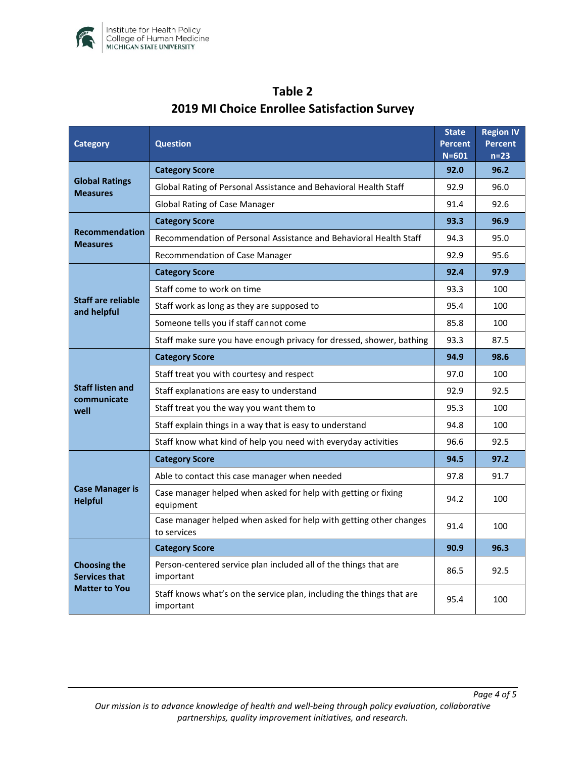

| Category                                                            | <b>Question</b>                                                                    |      | <b>Region IV</b><br><b>Percent</b><br>$n=23$ |
|---------------------------------------------------------------------|------------------------------------------------------------------------------------|------|----------------------------------------------|
| <b>Global Ratings</b><br><b>Measures</b>                            | <b>Category Score</b>                                                              |      | 96.2                                         |
|                                                                     | Global Rating of Personal Assistance and Behavioral Health Staff                   |      | 96.0                                         |
|                                                                     | <b>Global Rating of Case Manager</b>                                               |      | 92.6                                         |
| <b>Recommendation</b><br><b>Measures</b>                            | <b>Category Score</b>                                                              | 93.3 | 96.9                                         |
|                                                                     | Recommendation of Personal Assistance and Behavioral Health Staff                  |      | 95.0                                         |
|                                                                     | Recommendation of Case Manager                                                     | 92.9 | 95.6                                         |
| <b>Staff are reliable</b><br>and helpful                            | <b>Category Score</b>                                                              | 92.4 | 97.9                                         |
|                                                                     | Staff come to work on time                                                         |      | 100                                          |
|                                                                     | Staff work as long as they are supposed to                                         | 95.4 | 100                                          |
|                                                                     | Someone tells you if staff cannot come                                             |      | 100                                          |
|                                                                     | Staff make sure you have enough privacy for dressed, shower, bathing               | 93.3 | 87.5                                         |
| <b>Staff listen and</b><br>communicate<br>well                      | <b>Category Score</b>                                                              | 94.9 | 98.6                                         |
|                                                                     | Staff treat you with courtesy and respect                                          | 97.0 | 100                                          |
|                                                                     | Staff explanations are easy to understand                                          |      | 92.5                                         |
|                                                                     | Staff treat you the way you want them to                                           |      | 100                                          |
|                                                                     | Staff explain things in a way that is easy to understand                           |      | 100                                          |
|                                                                     | Staff know what kind of help you need with everyday activities                     | 96.6 | 92.5                                         |
| <b>Case Manager is</b><br><b>Helpful</b>                            | <b>Category Score</b>                                                              | 94.5 | 97.2                                         |
|                                                                     | Able to contact this case manager when needed                                      | 97.8 | 91.7                                         |
|                                                                     | Case manager helped when asked for help with getting or fixing<br>equipment        |      | 100                                          |
|                                                                     | Case manager helped when asked for help with getting other changes<br>to services  | 91.4 | 100                                          |
| <b>Choosing the</b><br><b>Services that</b><br><b>Matter to You</b> | <b>Category Score</b>                                                              | 90.9 | 96.3                                         |
|                                                                     | Person-centered service plan included all of the things that are<br>important      |      | 92.5                                         |
|                                                                     | Staff knows what's on the service plan, including the things that are<br>important | 95.4 | 100                                          |

# **Table 2 2019 MI Choice Enrollee Satisfaction Survey**